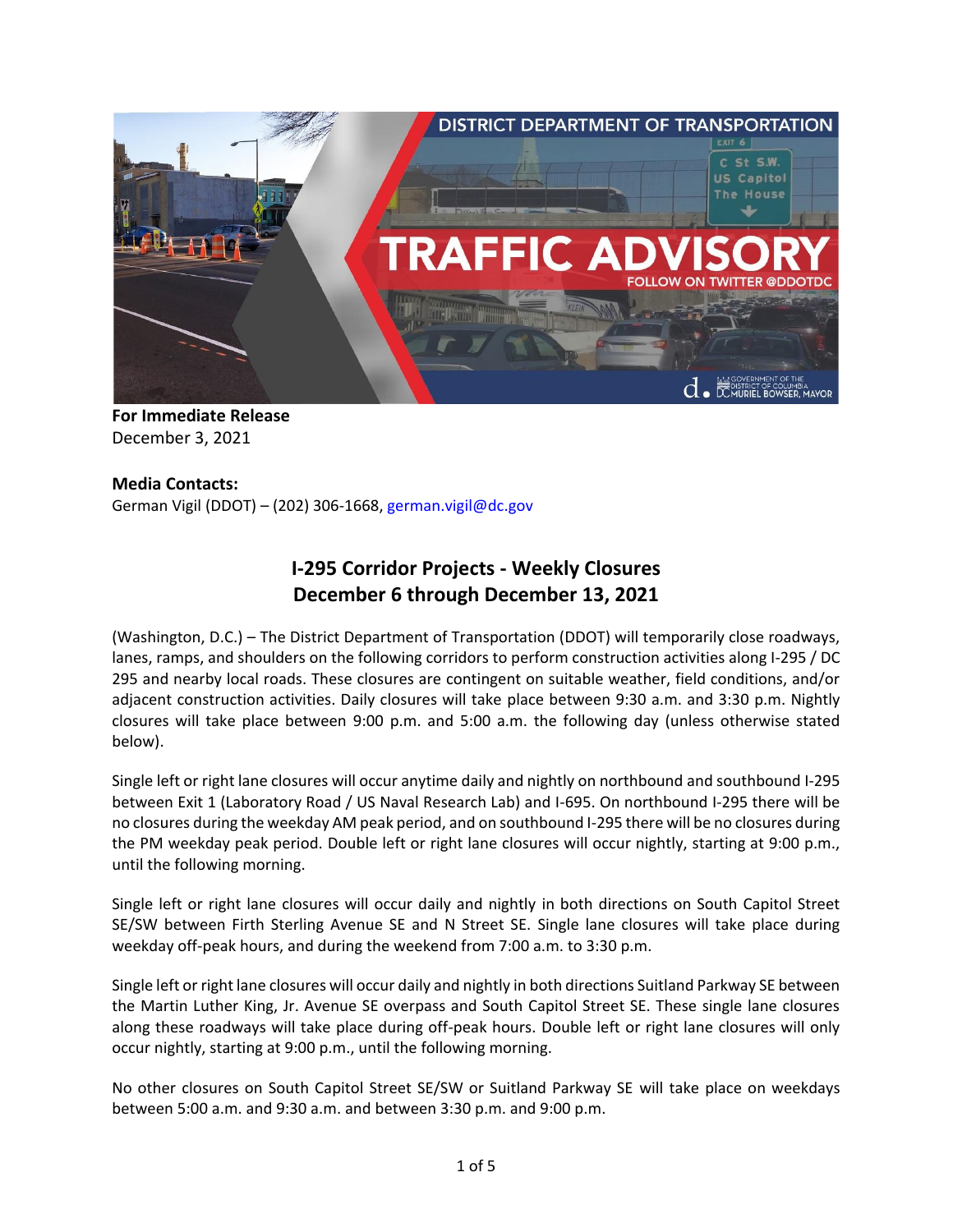

**For Immediate Release** December 3, 2021

## **Media Contacts:**

German Vigil (DDOT) – (202) 306-1668, [german.vigil@dc.gov](mailto:german.vigil@dc.gov)

# **I-295 Corridor Projects - Weekly Closures December 6 through December 13, 2021**

(Washington, D.C.) – The District Department of Transportation (DDOT) will temporarily close roadways, lanes, ramps, and shoulders on the following corridors to perform construction activities along I-295 / DC 295 and nearby local roads. These closures are contingent on suitable weather, field conditions, and/or adjacent construction activities. Daily closures will take place between 9:30 a.m. and 3:30 p.m. Nightly closures will take place between 9:00 p.m. and 5:00 a.m. the following day (unless otherwise stated below).

Single left or right lane closures will occur anytime daily and nightly on northbound and southbound I-295 between Exit 1 (Laboratory Road / US Naval Research Lab) and I-695. On northbound I-295 there will be no closures during the weekday AM peak period, and on southbound I-295 there will be no closures during the PM weekday peak period. Double left or right lane closures will occur nightly, starting at 9:00 p.m., until the following morning.

Single left or right lane closures will occur daily and nightly in both directions on South Capitol Street SE/SW between Firth Sterling Avenue SE and N Street SE. Single lane closures will take place during weekday off-peak hours, and during the weekend from 7:00 a.m. to 3:30 p.m.

Single left or right lane closures will occur daily and nightly in both directions Suitland Parkway SE between the Martin Luther King, Jr. Avenue SE overpass and South Capitol Street SE. These single lane closures along these roadways will take place during off-peak hours. Double left or right lane closures will only occur nightly, starting at 9:00 p.m., until the following morning.

No other closures on South Capitol Street SE/SW or Suitland Parkway SE will take place on weekdays between 5:00 a.m. and 9:30 a.m. and between 3:30 p.m. and 9:00 p.m.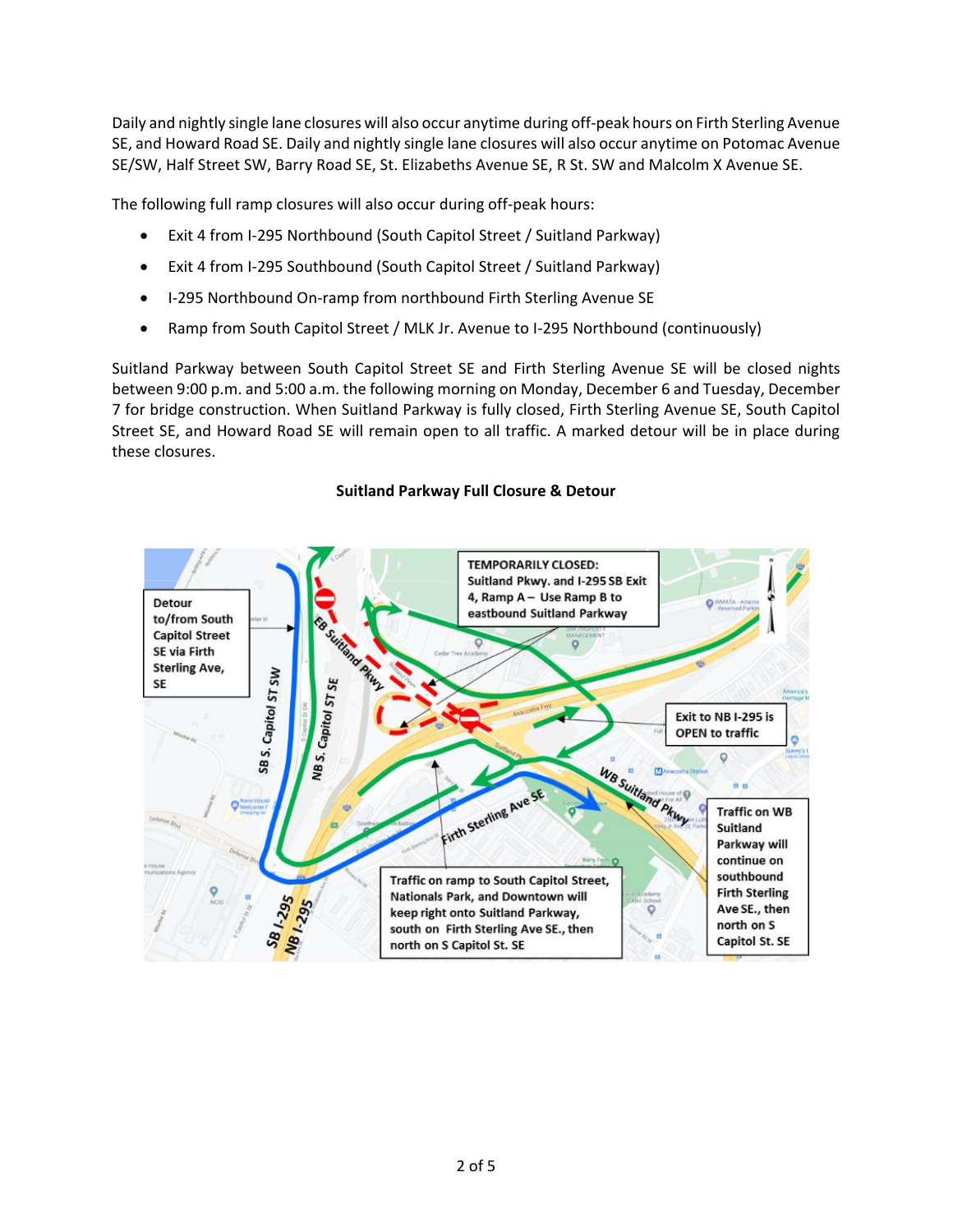Daily and nightly single lane closures will also occur anytime during off-peak hours on Firth Sterling Avenue SE, and Howard Road SE. Daily and nightly single lane closures will also occur anytime on Potomac Avenue SE/SW, Half Street SW, Barry Road SE, St. Elizabeths Avenue SE, R St. SW and Malcolm X Avenue SE.

The following full ramp closures will also occur during off-peak hours:

- Exit 4 from I-295 Northbound (South Capitol Street / Suitland Parkway)
- Exit 4 from I-295 Southbound (South Capitol Street / Suitland Parkway)
- I-295 Northbound On-ramp from northbound Firth Sterling Avenue SE
- Ramp from South Capitol Street / MLK Jr. Avenue to I-295 Northbound (continuously)

Suitland Parkway between South Capitol Street SE and Firth Sterling Avenue SE will be closed nights between 9:00 p.m. and 5:00 a.m. the following morning on Monday, December 6 and Tuesday, December 7 for bridge construction. When Suitland Parkway is fully closed, Firth Sterling Avenue SE, South Capitol Street SE, and Howard Road SE will remain open to all traffic. A marked detour will be in place during these closures.

### **Suitland Parkway Full Closure & Detour**

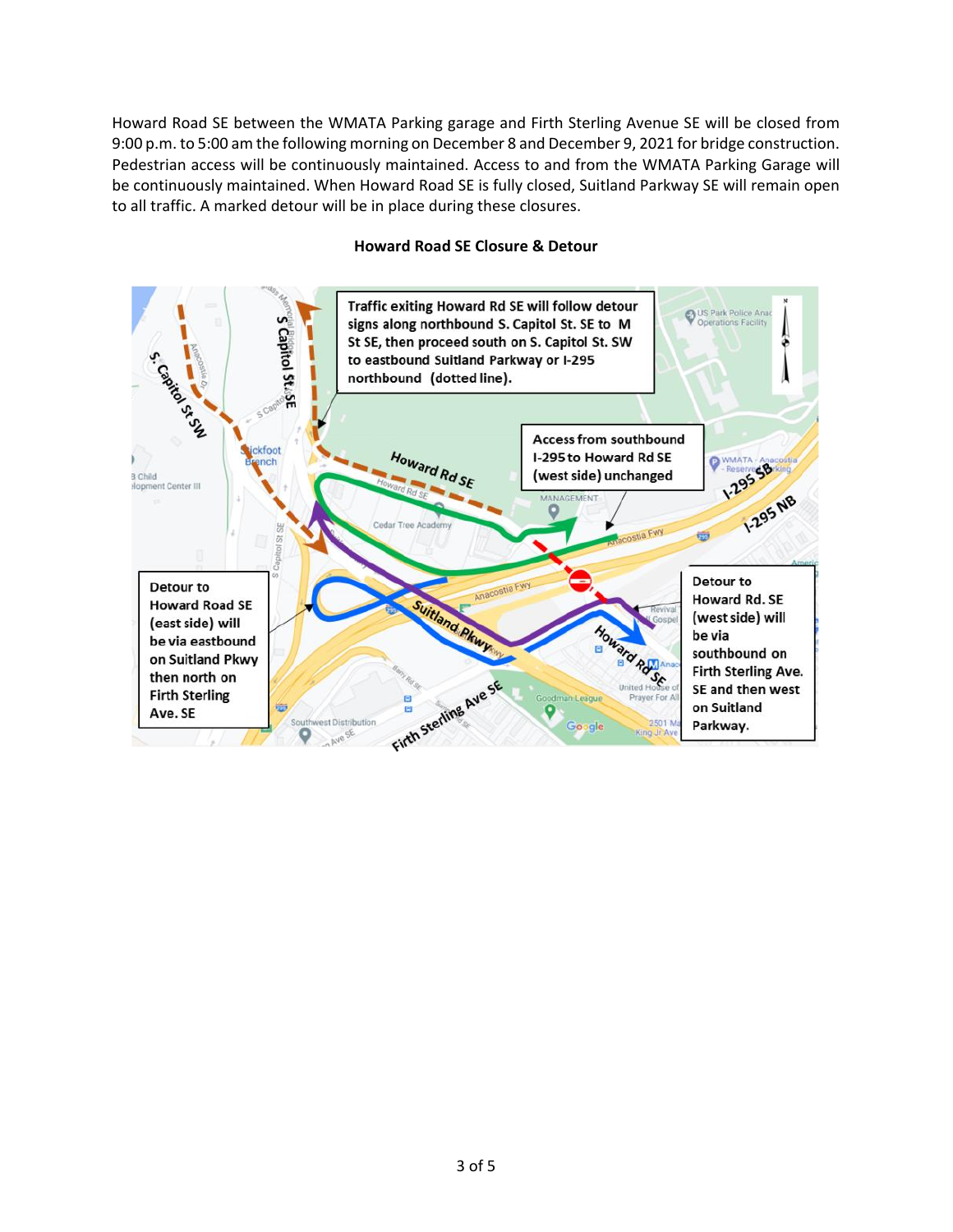Howard Road SE between the WMATA Parking garage and Firth Sterling Avenue SE will be closed from 9:00 p.m. to 5:00 am the following morning on December 8 and December 9, 2021 for bridge construction. Pedestrian access will be continuously maintained. Access to and from the WMATA Parking Garage will be continuously maintained. When Howard Road SE is fully closed, Suitland Parkway SE will remain open to all traffic. A marked detour will be in place during these closures.



#### **Howard Road SE Closure & Detour**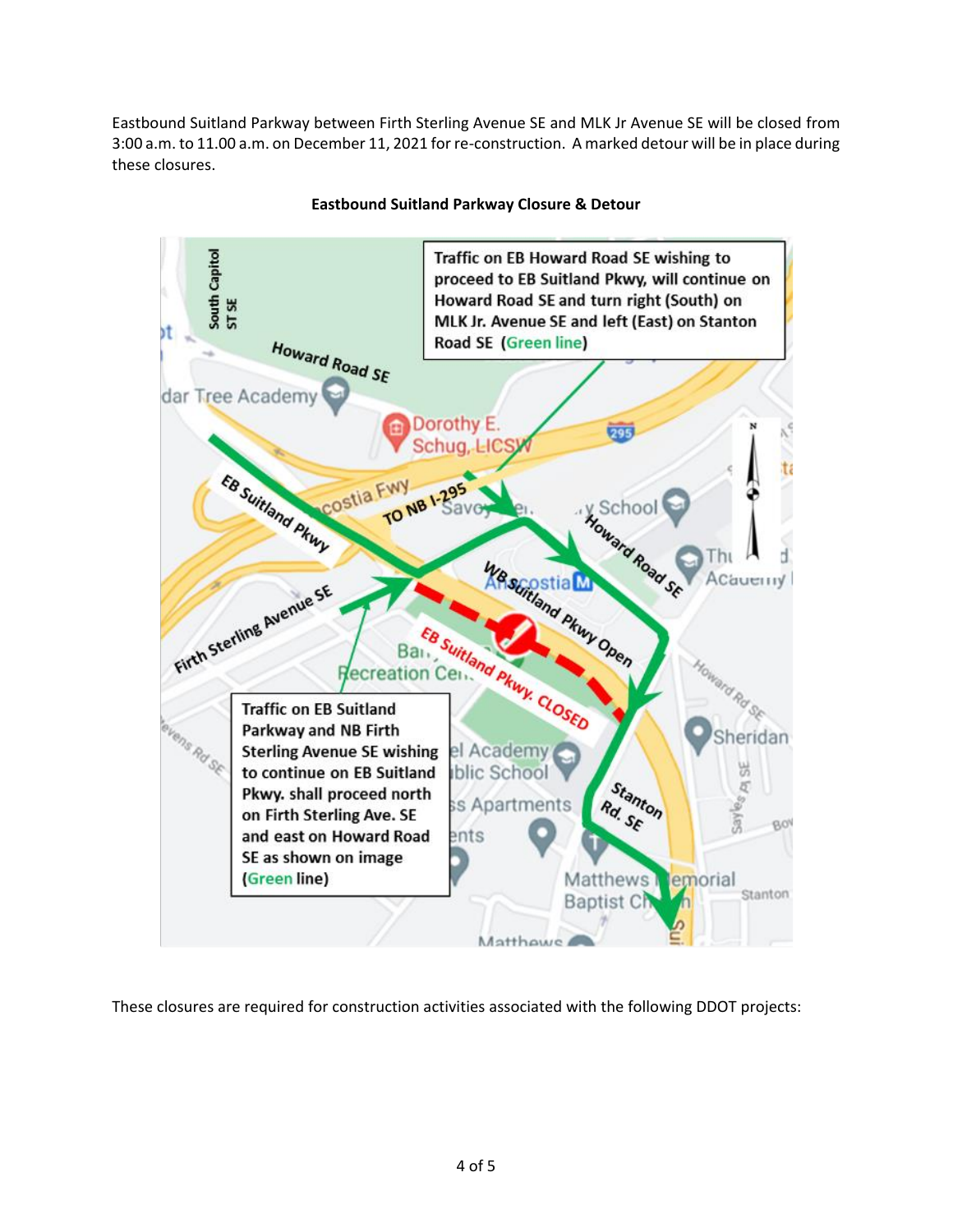Eastbound Suitland Parkway between Firth Sterling Avenue SE and MLK Jr Avenue SE will be closed from 3:00 a.m. to 11.00 a.m. on December 11, 2021 for re-construction. A marked detour will be in place during these closures.



#### **Eastbound Suitland Parkway Closure & Detour**

These closures are required for construction activities associated with the following DDOT projects: